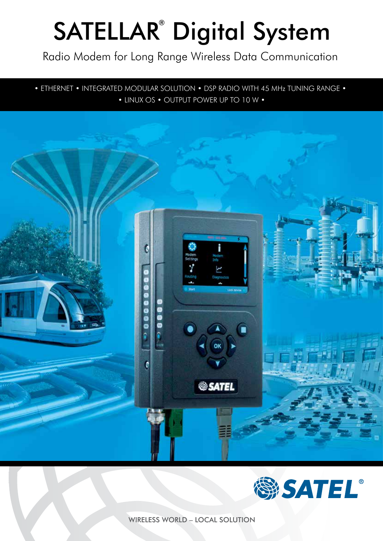# SATELLAR<sup>®</sup> Digital System

Radio Modem for Long Range Wireless Data Communication

• ETHERNET • INTEGRATED MODULAR SOLUTION • DSP RADIO WITH 45 MHz TUNING RANGE • • LINUX OS • OUTPUT POWER UP TO 10 W •





WIRELESS WORLD – LOCAL SOLUTION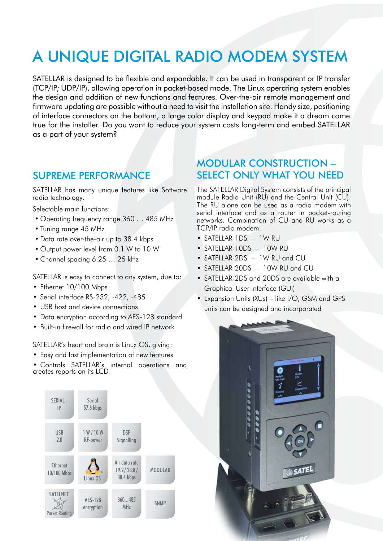## A UNIQUE DIGITAL RADIO MODEM SYSTEM

SATELLAR is designed to be flexible and expandable. It can be used in transparent or IP transfer (TCP/IP; UDP/IP), allowing operation in packet-based mode. The Linux operating system enables the design and addition of new functions and features. Over-the-air remote management and firmware updating are possible without a need to visit the installation site. Handy size, positioning of interface connectors on the bottom, a large color display and keypad make it a dream come true for the installer. Do you want to reduce your system costs long-term and embed SATELLAR as a part of your system?

#### SUPREME PERFORMANCE

SATELLAR has many unique features like Software radio technology.

Selectable main functions:

- Operating frequency range 360 … 485 MHz
- Tuning range 45 MHz
- Data rate over-the-air up to 38.4 kbps
- Output power level from 0.1 W to 10 W
- Channel spacing 6.25 … 25 kHz

SATELLAR is easy to connect to any system, due to:

- Ethernet 10/100 Mbps
- Serial interface RS-232, -422, -485
- USB host and device connections
- Data encryption according to AES-128 standard
- Built-in firewall for radio and wired IP network

SATELLAR's heart and brain is Linux OS, giving:

- Easy and fast implementation of new features
- Controls SATELLAR's internal operations and creates reports on its LCD



#### MODULAR CONSTRUCTION – SELECT ONLY WHAT YOU NEED

The SATELLAR Digital System consists of the principal module Radio Unit (RU) and the Central Unit (CU). The RU alone can be used as a radio modem with serial interface and as a router in packet-routing networks. Combination of CU and RU works as a TCP/IP radio modem.

- SATELLAR-1DS 1W RU
- SATELLAR-10DS 10W RU
- SATELLAR-2DS 1W RU and CU
- SATELLAR-20DS 10W RU and CU
- SATELLAR-2DS and 20DS are available with a Graphical User Interface (GUI)
- Expansion Units (XUs) like I/O, GSM and GPS units can be designed and incorporated

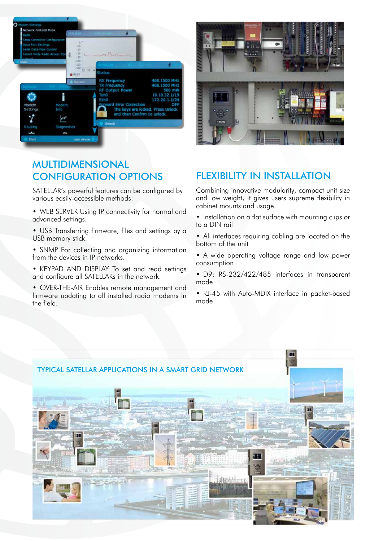



### MULTIDIMENSIONAL CONFIGURATION OPTIONS

SATELLAR's powerful features can be configured by various easily-accessible methods:

• WEB SERVER Using IP connectivity for normal and advanced settings.

• USB Transferring firmware, files and settings by a USB memory stick.

• SNMP For collecting and organizing information from the devices in IP networks.

• KEYPAD AND DISPLAY To set and read settings and configure all SATELLARs in the network.

• OVER-THE-AIR Enables remote management and firmware updating to all installed radio modems in the field.

### FLEXIBILITY IN INSTALLATION

Combining innovative modularity, compact unit size and low weight, it gives users supreme flexibility in cabinet mounts and usage.

• Installation on a flat surface with mounting clips or to a DIN rail

• All interfaces requiring cabling are located on the bottom of the unit

• A wide operating voltage range and low power consumption

• D9; RS-232/422/485 interfaces in transparent mode

• RJ-45 with Auto-MDIX interface in packet-based mode